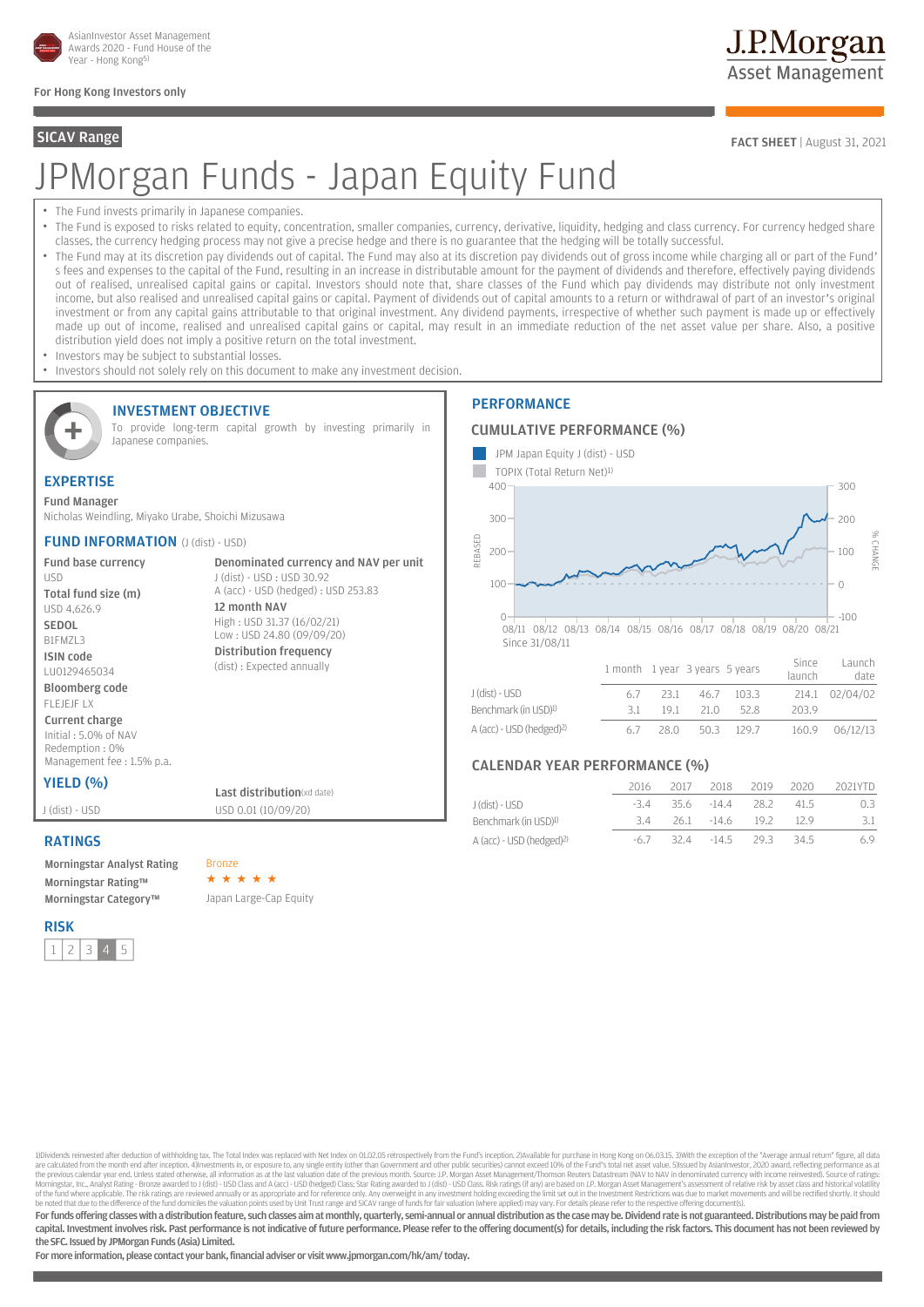

# For Hong Kong Investors only

# JPMorgan Funds - Japan Equity Fund

- The Fund invests primarily in Japanese companies.
- The Fund is exposed to risks related to equity, concentration, smaller companies, currency, derivative, liquidity, hedging and class currency. For currency hedged share classes, the currency hedging process may not give a precise hedge and there is no guarantee that the hedging will be totally successful.
- The Fund may at its discretion pay dividends out of capital. The Fund may also at its discretion pay dividends out of gross income while charging all or part of the Fund' s fees and expenses to the capital of the Fund, resulting in an increase in distributable amount for the payment of dividends and therefore, effectively paying dividends out of realised, unrealised capital gains or capital. Investors should note that, share classes of the Fund which pay dividends may distribute not only investment income, but also realised and unrealised capital gains or capital. Payment of dividends out of capital amounts to a return or withdrawal of part of an investor's original investment or from any capital gains attributable to that original investment. Any dividend payments, irrespective of whether such payment is made up or effectively made up out of income, realised and unrealised capital gains or capital, may result in an immediate reduction of the net asset value per share. Also, a positive distribution yield does not imply a positive return on the total investment.
- Investors may be subject to substantial losses.

INVESTMENT OBJECTIVE

• Investors should not solely rely on this document to make any investment decision.



To provide long-term capital growth by investing primarily in Japanese companies.

> J (dist) - USD : USD 30.92 A (acc) - USD (hedged) : USD 253.83

High : USD 31.37 (16/02/21) Low : USD 24.80 (09/09/20) Distribution frequency (dist) : Expected annually

12 month NAV

Denominated currency and NAV per unit

# EXPERTISE

Fund Manager Nicholas Weindling, Miyako Urabe, Shoichi Mizusawa

## **FUND INFORMATION** (J (dist) - USD)

Fund base currency USD Total fund size (m) USD 4,626.9

SEDOL B1FMZL3 ISIN code

LU0129465034 Bloomberg code

FLEJEJF LX Current charge

Initial : 5.0% of NAV Redemption : 0% Management fee : 1.5% p.a.

# **YIELD (%)** Last distribution(xd date)

J (dist) - USD USD 0.01 (10/09/20)

# RATINGS

Morningstar Analyst Rating Bronze Morningstar Rating™ Morningstar Category™ Japan Large-Cap Equity

RISK  $12345$ 

# **PERFORMANCE**

## CUMULATIVE PERFORMANCE (%)



| J (dist) - USD                       | -23.1 |                 | 46.7 103.3 |       | 214.1 02/04/02 |
|--------------------------------------|-------|-----------------|------------|-------|----------------|
| Benchmark (in USD) <sup>1)</sup>     |       | 191 210 528     |            | 203.9 |                |
| A (acc) - USD (hedged) <sup>2)</sup> |       | 28.0 50.3 129.7 |            |       | 160.9 06/12/13 |

# CALENDAR YEAR PERFORMANCE (%)

|                                      | 2016  | 2017 | 2018             | 2019 | 2020 | 2021YTD |
|--------------------------------------|-------|------|------------------|------|------|---------|
| J (dist) - USD                       | -34   |      | 35.6 -14.4 28.2  |      | 415  | 0.3     |
| Benchmark (in USD) <sup>1)</sup>     | 34    |      | 26.1 -14.6 19.2  |      | -129 | 3.1     |
| A (acc) - USD (hedged) <sup>2)</sup> | $-6/$ |      | 32.4 - 14.5 29.3 |      | 34.5 | 6.9     |

1)Dividends reinvested after deduction of withholding tax. The Total Index was replaced with Net Index on 01.02.05 retrospectively from the Fund's inception. 2)Available for purchase in Hong Kong on 06.03.15. 3)With the ex the previous calendar year end. Unless stated otherwise, all information as at the last valuation date of the previous month. Source: J.P. Morgan Asset Management/Thomson Reuters Datastream (NAV to NAV in denominated curre

For funds offering classes with a distribution feature, such classes aim at monthly, quarterly, semi-annual or annual distribution as the case may be. Dividend rate is not guaranteed. Distributions may be paid from capital. Investment involves risk. Past performance is not indicative of future performance. Please refer to the offering document(s) for details, including the risk factors. This document has not been reviewed by the SFC. Issued by JPMorgan Funds (Asia) Limited.

For more information, please contact your bank, financial adviser or visit www.jpmorgan.com/hk/am/ today.

J.P.Morgan **Asset Management** 

**SICAV Range** FACT SHEET | August 31, 2021